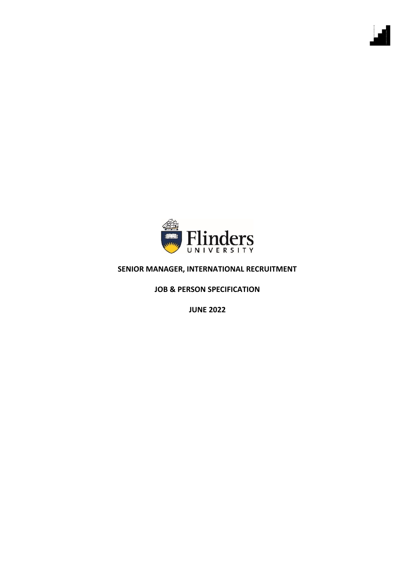

### **SENIOR MANAGER, INTERNATIONAL RECRUITMENT**

**JOB & PERSON SPECIFICATION**

**JUNE 2022**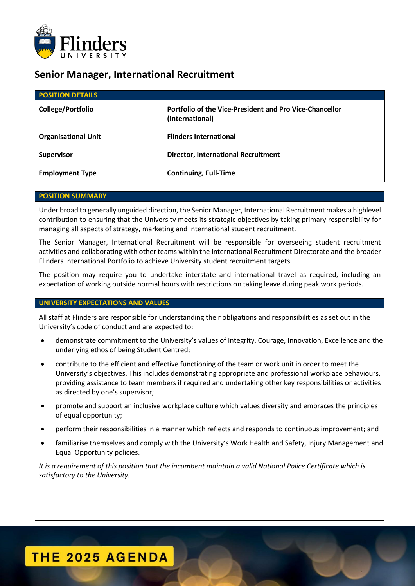

### **Senior Manager, International Recruitment**

| <b>POSITION DETAILS</b>    |                                                                                   |
|----------------------------|-----------------------------------------------------------------------------------|
| College/Portfolio          | <b>Portfolio of the Vice-President and Pro Vice-Chancellor</b><br>(International) |
| <b>Organisational Unit</b> | <b>Flinders International</b>                                                     |
| <b>Supervisor</b>          | <b>Director, International Recruitment</b>                                        |
| <b>Employment Type</b>     | <b>Continuing, Full-Time</b>                                                      |

### **POSITION SUMMARY**

Under broad to generally unguided direction, the Senior Manager, International Recruitment makes a highlevel contribution to ensuring that the University meets its strategic objectives by taking primary responsibility for managing all aspects of strategy, marketing and international student recruitment.

The Senior Manager, International Recruitment will be responsible for overseeing student recruitment activities and collaborating with other teams within the International Recruitment Directorate and the broader Flinders International Portfolio to achieve University student recruitment targets.

The position may require you to undertake interstate and international travel as required, including an expectation of working outside normal hours with restrictions on taking leave during peak work periods.

#### **UNIVERSITY EXPECTATIONS AND VALUES**

All staff at Flinders are responsible for understanding their obligations and responsibilities as set out in the University's code of conduct and are expected to:

- demonstrate commitment to the University's values of Integrity, Courage, Innovation, Excellence and the underlying ethos of being Student Centred;
- contribute to the efficient and effective functioning of the team or work unit in order to meet the University's objectives. This includes demonstrating appropriate and professional workplace behaviours, providing assistance to team members if required and undertaking other key responsibilities or activities as directed by one's supervisor;
- promote and support an inclusive workplace culture which values diversity and embraces the principles of equal opportunity;
- perform their responsibilities in a manner which reflects and responds to continuous improvement; and
- familiarise themselves and comply with the University's Work Health and Safety, Injury Management and Equal Opportunity policies.

*It is a requirement of this position that the incumbent maintain a valid National Police Certificate which is satisfactory to the University.*

## **THE 2025 AGENDA**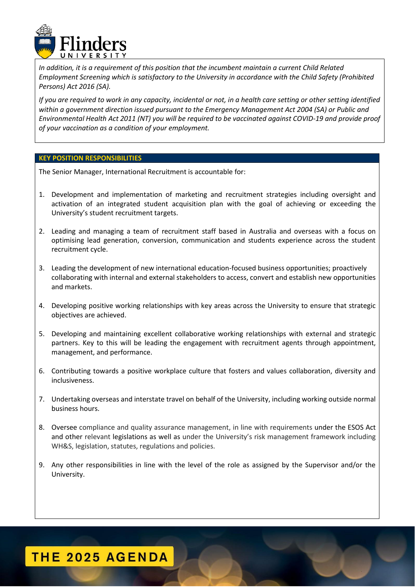

*In addition, it is a requirement of this position that the incumbent maintain a current Child Related Employment Screening which is satisfactory to the University in accordance with the Child Safety (Prohibited Persons) Act 2016 (SA).*

*If you are required to work in any capacity, incidental or not, in a health care setting or other setting identified within a government direction issued pursuant to the Emergency Management Act 2004 (SA) or Public and Environmental Health Act 2011 (NT) you will be required to be vaccinated against COVID-19 and provide proof of your vaccination as a condition of your employment.*

#### **KEY POSITION RESPONSIBILITIES**

The Senior Manager, International Recruitment is accountable for:

- 1. Development and implementation of marketing and recruitment strategies including oversight and activation of an integrated student acquisition plan with the goal of achieving or exceeding the University's student recruitment targets.
- 2. Leading and managing a team of recruitment staff based in Australia and overseas with a focus on optimising lead generation, conversion, communication and students experience across the student recruitment cycle.
- 3. Leading the development of new international education-focused business opportunities; proactively collaborating with internal and external stakeholders to access, convert and establish new opportunities and markets.
- 4. Developing positive working relationships with key areas across the University to ensure that strategic objectives are achieved.
- 5. Developing and maintaining excellent collaborative working relationships with external and strategic partners. Key to this will be leading the engagement with recruitment agents through appointment, management, and performance.
- 6. Contributing towards a positive workplace culture that fosters and values collaboration, diversity and inclusiveness.
- 7. Undertaking overseas and interstate travel on behalf of the University, including working outside normal business hours.
- 8. Oversee compliance and quality assurance management, in line with requirements under the ESOS Act and other relevant legislations as well as under the University's risk management framework including WH&S, legislation, statutes, regulations and policies.
- 9. Any other responsibilities in line with the level of the role as assigned by the Supervisor and/or the University.

## **THE 2025 AGENDA**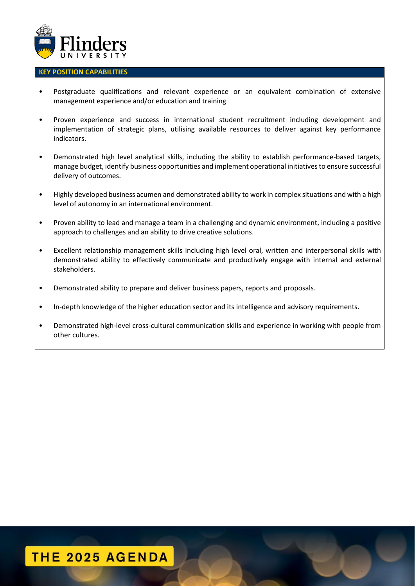

#### **KEY POSITION CAPABILITIES**

- Postgraduate qualifications and relevant experience or an equivalent combination of extensive management experience and/or education and training
- Proven experience and success in international student recruitment including development and implementation of strategic plans, utilising available resources to deliver against key performance indicators.
- Demonstrated high level analytical skills, including the ability to establish performance-based targets, manage budget, identify business opportunities and implement operational initiatives to ensure successful delivery of outcomes.
- Highly developed business acumen and demonstrated ability to work in complex situations and with a high level of autonomy in an international environment.
- Proven ability to lead and manage a team in a challenging and dynamic environment, including a positive approach to challenges and an ability to drive creative solutions.
- Excellent relationship management skills including high level oral, written and interpersonal skills with demonstrated ability to effectively communicate and productively engage with internal and external stakeholders.
- Demonstrated ability to prepare and deliver business papers, reports and proposals.
- In-depth knowledge of the higher education sector and its intelligence and advisory requirements.
- Demonstrated high-level cross-cultural communication skills and experience in working with people from other cultures.

# THE 2025 AGENDA